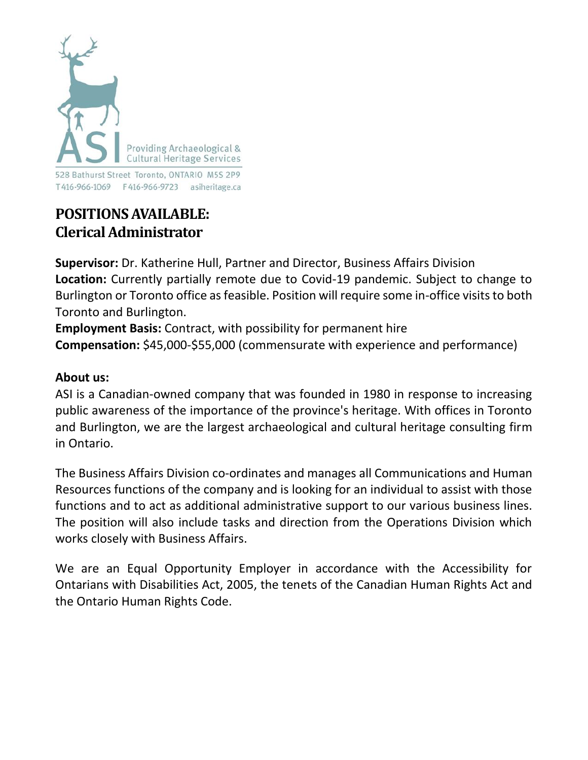

# **POSITIONSAVAILABLE: Clerical Administrator**

**Supervisor:** Dr. Katherine Hull, Partner and Director, Business Affairs Division **Location:** Currently partially remote due to Covid-19 pandemic. Subject to change to Burlington or Toronto office as feasible. Position will require some in-office visits to both Toronto and Burlington.

**Employment Basis:** Contract, with possibility for permanent hire **Compensation:** \$45,000-\$55,000 (commensurate with experience and performance)

#### **About us:**

ASI is a Canadian-owned company that was founded in 1980 in response to increasing public awareness of the importance of the province's heritage. With offices in Toronto and Burlington, we are the largest archaeological and cultural heritage consulting firm in Ontario.

The Business Affairs Division co-ordinates and manages all Communications and Human Resources functions of the company and is looking for an individual to assist with those functions and to act as additional administrative support to our various business lines. The position will also include tasks and direction from the Operations Division which works closely with Business Affairs.

We are an Equal Opportunity Employer in accordance with the Accessibility for Ontarians with Disabilities Act, 2005, the tenets of the Canadian Human Rights Act and the Ontario Human Rights Code.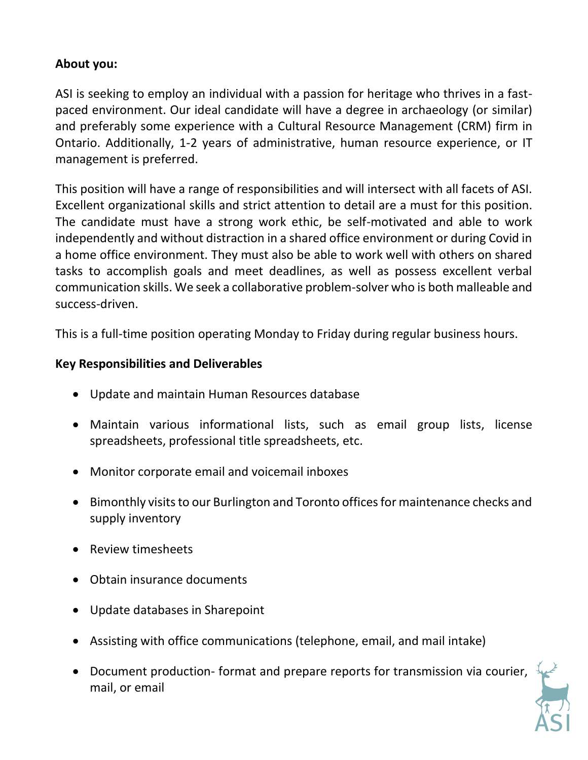## **About you:**

ASI is seeking to employ an individual with a passion for heritage who thrives in a fastpaced environment. Our ideal candidate will have a degree in archaeology (or similar) and preferably some experience with a Cultural Resource Management (CRM) firm in Ontario. Additionally, 1-2 years of administrative, human resource experience, or IT management is preferred.

This position will have a range of responsibilities and will intersect with all facets of ASI. Excellent organizational skills and strict attention to detail are a must for this position. The candidate must have a strong work ethic, be self-motivated and able to work independently and without distraction in a shared office environment or during Covid in a home office environment. They must also be able to work well with others on shared tasks to accomplish goals and meet deadlines, as well as possess excellent verbal communication skills. We seek a collaborative problem-solver who is both malleable and success-driven.

This is a full-time position operating Monday to Friday during regular business hours.

## **Key Responsibilities and Deliverables**

- Update and maintain Human Resources database
- Maintain various informational lists, such as email group lists, license spreadsheets, professional title spreadsheets, etc.
- Monitor corporate email and voicemail inboxes
- Bimonthly visits to our Burlington and Toronto offices for maintenance checks and supply inventory
- Review timesheets
- Obtain insurance documents
- Update databases in Sharepoint
- Assisting with office communications (telephone, email, and mail intake)
- Document production- format and prepare reports for transmission via courier, mail, or email